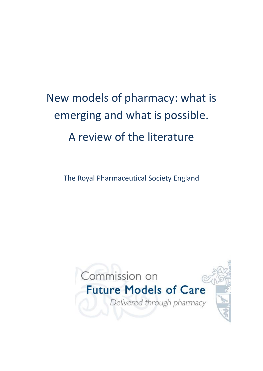# New models of pharmacy: what is emerging and what is possible. A review of the literature

The Royal Pharmaceutical Society England

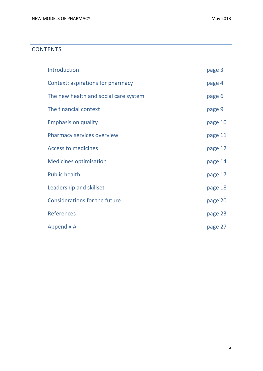## **CONTENTS**

| Introduction                          | page 3  |
|---------------------------------------|---------|
| Context: aspirations for pharmacy     | page 4  |
| The new health and social care system | page 6  |
| The financial context                 | page 9  |
| <b>Emphasis on quality</b>            | page 10 |
| <b>Pharmacy services overview</b>     | page 11 |
| <b>Access to medicines</b>            | page 12 |
| <b>Medicines optimisation</b>         | page 14 |
| <b>Public health</b>                  | page 17 |
| Leadership and skillset               | page 18 |
| <b>Considerations for the future</b>  | page 20 |
| <b>References</b>                     | page 23 |
| <b>Appendix A</b>                     | page 27 |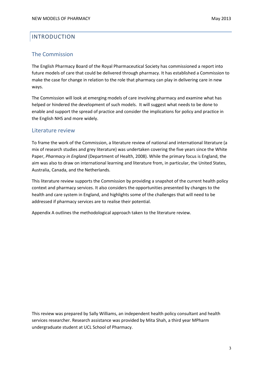## INTRODUCTION

### The Commission

The English Pharmacy Board of the Royal Pharmaceutical Society has commissioned a report into future models of care that could be delivered through pharmacy. It has established a Commission to make the case for change in relation to the role that pharmacy can play in delivering care in new ways.

The Commission will look at emerging models of care involving pharmacy and examine what has helped or hindered the development of such models. It will suggest what needs to be done to enable and support the spread of practice and consider the implications for policy and practice in the English NHS and more widely.

#### Literature review

To frame the work of the Commission, a literature review of national and international literature (a mix of research studies and grey literature) was undertaken covering the five years since the White Paper, *Pharmacy in England* (Department of Health, 2008). While the primary focus is England, the aim was also to draw on international learning and literature from, in particular, the United States, Australia, Canada, and the Netherlands.

This literature review supports the Commission by providing a snapshot of the current health policy context and pharmacy services. It also considers the opportunities presented by changes to the health and care system in England, and highlights some of the challenges that will need to be addressed if pharmacy services are to realise their potential.

Appendix A outlines the methodological approach taken to the literature review.

This review was prepared by Sally Williams, an independent health policy consultant and health services researcher. Research assistance was provided by Mita Shah, a third year MPharm undergraduate student at UCL School of Pharmacy.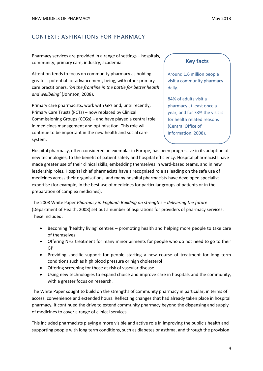Pharmacy services are provided in a range of settings – hospitals, community, primary care, industry, academia.

Attention tends to focus on community pharmacy as holding greatest potential for advancement, being, with other primary care practitioners, *'on the frontline in the battle for better health and wellbeing'* (Johnson, 2008)*.*

Primary care pharmacists, work with GPs and, until recently, Primary Care Trusts (PCTs) – now replaced by Clinical Commissioning Groups (CCGs) – and have played a central role in medicines management and optimisation. This role will continue to be important in the new health and social care system.

## **Key facts**

Around 1.6 million people visit a community pharmacy daily.

84% of adults visit a pharmacy at least once a year, and for 78% the visit is for health related reasons (Central Office of Information, 2008).

Hospital pharmacy, often considered an exemplar in Europe, has been progressive in its adoption of new technologies, to the benefit of patient safety and hospital efficiency. Hospital pharmacists have made greater use of their clinical skills, embedding themselves in ward-based teams, and in new leadership roles. Hospital chief pharmacists have a recognised role as leading on the safe use of medicines across their organisations, and many hospital pharmacists have developed specialist expertise (for example, in the best use of medicines for particular groups of patients or in the preparation of complex medicines).

The 2008 White Paper *Pharmacy in England: Building on strengths – delivering the future* (Department of Health, 2008) set out a number of aspirations for providers of pharmacy services. These included:

- Becoming 'healthy living' centres promoting health and helping more people to take care of themselves
- Offering NHS treatment for many minor ailments for people who do not need to go to their GP
- Providing specific support for people starting a new course of treatment for long term conditions such as high blood pressure or high cholesterol
- Offering screening for those at risk of vascular disease
- Using new technologies to expand choice and improve care in hospitals and the community, with a greater focus on research.

The White Paper sought to build on the strengths of community pharmacy in particular, in terms of access, convenience and extended hours. Reflecting changes that had already taken place in hospital pharmacy, it continued the drive to extend community pharmacy beyond the dispensing and supply of medicines to cover a range of clinical services.

This included pharmacists playing a more visible and active role in improving the public's health and supporting people with long term conditions, such as diabetes or asthma, and through the provision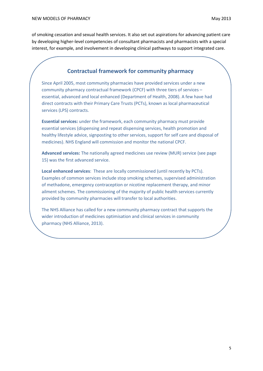of smoking cessation and sexual health services. It also set out aspirations for advancing patient care by developing higher-level competencies of consultant pharmacists and pharmacists with a special interest, for example, and involvement in developing clinical pathways to support integrated care.

#### **Contractual framework for community pharmacy**

Since April 2005, most community pharmacies have provided services under a new community pharmacy contractual framework (CPCF) with three tiers of services – essential, advanced and local enhanced (Department of Health, 2008). A few have had direct contracts with their Primary Care Trusts (PCTs), known as local pharmaceutical services (LPS) contracts.

**Essential services:** under the framework, each community pharmacy must provide essential services (dispensing and repeat dispensing services, health promotion and healthy lifestyle advice, signposting to other services, support for self care and disposal of medicines). NHS England will commission and monitor the national CPCF.

**Advanced services:** The nationally agreed medicines use review (MUR) service (see page 15) was the first advanced service.

**Local enhanced services**: These are locally commissioned (until recently by PCTs). Examples of common services include stop smoking schemes, supervised administration of methadone, emergency contraception or nicotine replacement therapy, and minor ailment schemes. The commissioning of the majority of public health services currently provided by community pharmacies will transfer to local authorities.

The NHS Alliance has called for a new community pharmacy contract that supports the wider introduction of medicines optimisation and clinical services in community pharmacy (NHS Alliance, 2013).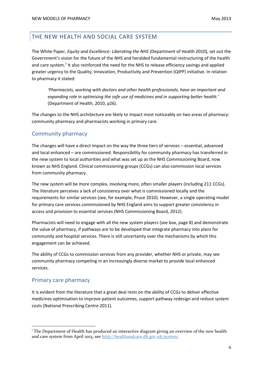## THE NEW HEALTH AND SOCIAL CARE SYSTEM

The White Paper, *Equity and Excellence: Liberating the NHS* (Department of Health 2010), set out the Government's vision for the future of the NHS and heralded fundamental restructuring of the health and care system.<sup>1</sup> It also reinforced the need for the NHS to release efficiency savings and applied greater urgency to the Quality, Innovation, Productivity and Prevention (QIPP) initiative. In relation to pharmacy it stated:

*'Pharmacists, working with doctors and other health professionals, have an important and expanding role in optimising the safe use of medicines and in supporting better health.'* (Department of Health, 2010, p26).

The changes to the NHS architecture are likely to impact most noticeably on two areas of pharmacy: community pharmacy and pharmacists working in primary care.

## Community pharmacy

The changes will have a direct impact on the way the three tiers of services – essential, advanced and local enhanced – are commissioned. Responsibility for community pharmacy has transferred in the new system to local authorities and what was set up as the NHS Commissioning Board, now known as NHS England. Clinical commissioning groups (CCGs) can also commission local services from community pharmacy.

The new system will be more complex, involving more, often smaller players (including 211 CCGs). The literature perceives a lack of consistency over what is commissioned locally and the requirements for similar services (see, for example, Pruce 2010). However, a single operating model for primary care services commissioned by NHS England aims to support greater consistency in access and provision to essential services (NHS Commissioning Board, 2012).

Pharmacists will need to engage with all the new system players (see box, page 8) and demonstrate the value of pharmacy, if pathways are to be developed that integrate pharmacy into plans for community and hospital services. There is still uncertainty over the mechanisms by which this engagement can be achieved.

The ability of CCGs to commission services from any provider, whether NHS or private, may see community pharmacy competing in an increasingly diverse market to provide local enhanced services.

### Primary care pharmacy

**.** 

It is evident from the literature that a great deal rests on the ability of CCGs to deliver effective medicines optimisation to improve patient outcomes, support pathway redesign and reduce system costs (National Prescribing Centre 2011).

<sup>&</sup>lt;sup>1</sup> The Department of Health has produced an interactive diagram giving an overview of the new health and care system from April 2013, se[e http://healthandcare.dh.gov.uk/system/](http://healthandcare.dh.gov.uk/system/)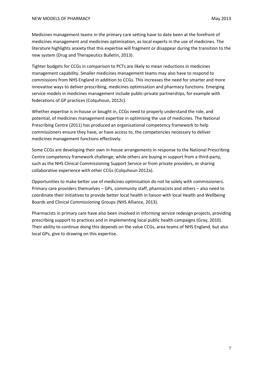Medicines management teams in the primary care setting have to date been at the forefront of medicines management and medicines optimisation, as local experts in the use of medicines. The literature highlights anxiety that this expertise will fragment or disappear during the transition to the new system (Drug and Therapeutics Bulletin, 2013).

Tighter budgets for CCGs in comparison to PCTs are likely to mean reductions in medicines management capability. Smaller medicines management teams may also have to respond to commissions from NHS England in addition to CCGs. This increases the need for smarter and more innovative ways to deliver prescribing, medicines optimisation and pharmacy functions. Emerging service models in medicines management include public-private partnerships, for example with federations of GP practices (Colquhoun, 2012c).

Whether expertise is in-house or bought in, CCGs need to properly understand the role, and potential, of medicines management expertise in optimising the use of medicines. The National Prescribing Centre (2011) has produced an organisational competency framework to help commissioners ensure they have, or have access to, the competencies necessary to deliver medicines management functions effectively.

Some CCGs are developing their own in-house arrangements in response to the National Prescribing Centre competency framework challenge, while others are buying in support from a third-party, such as the NHS Clinical Commissioning Support Service or from private providers, or sharing collaborative experience with other CCGs (Colquhoun 2012a).

Opportunities to make better use of medicines optimisation do not lie solely with commissioners. Primary care providers themselves – GPs, community staff, pharmacists and others – also need to coordinate their initiatives to provide better local health in liaison with local Health and Wellbeing Boards and Clinical Commissioning Groups (NHS Alliance, 2013).

Pharmacists in primary care have also been involved in informing service redesign projects, providing prescribing support to practices and in implementing local public health campaigns (Gray, 2010). Their ability to continue doing this depends on the value CCGs, area teams of NHS England, but also local GPs, give to drawing on this expertise.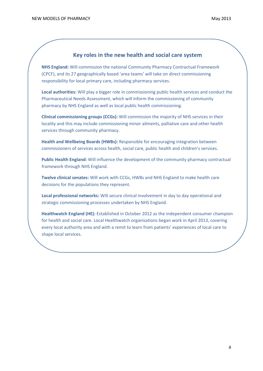#### **Key roles in the new health and social care system**

**NHS England:** Will commission the national Community Pharmacy Contractual Framework (CPCF), and its 27 geographically based 'area teams' will take on direct commissioning responsibility for local primary care, including pharmacy services.

**Local authorities:** Will play a bigger role in commissioning public health services and conduct the Pharmaceutical Needs Assessment, which will inform the commissioning of community pharmacy by NHS England as well as local public health commissioning.

**Clinical commissioning groups (CCGs):** Will commission the majority of NHS services in their locality and this may include commissioning minor ailments, palliative care and other health services through community pharmacy.

**Health and Wellbeing Boards (HWBs):** Responsible for encouraging integration between commissioners of services across health, social care, public health and children's services.

**Public Health England:** Will influence the development of the community pharmacy contractual framework through NHS England.

**Twelve clinical senates:** Will work with CCGs, HWBs and NHS England to make health care decisions for the populations they represent.

**Local professional networks:** Will secure clinical involvement in day to day operational and strategic commissioning processes undertaken by NHS England.

**Healthwatch England (HE):** Established in October 2012 as the independent consumer champion for health and social care. Local Healthwatch organisations began work in April 2013, covering every local authority area and with a remit to learn from patients' experiences of local care to shape local services.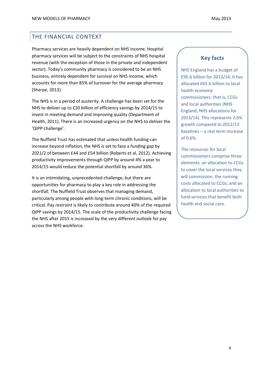## THE FINANCIAL CONTEXT

Pharmacy services are heavily dependent on NHS income. Hospital pharmacy services will be subject to the constraints of NHS hospital revenue (with the exception of those in the private and independent sector). Today's community pharmacy is considered to be an NHS business, entirely dependent for survival on NHS income, which accounts for more than 85% of turnover for the average pharmacy (Sharpe, 2013).

The NHS is in a period of austerity. A challenge has been set for the NHS to deliver up to £20 billion of efficiency savings by 2014/15 to invest in meeting demand and improving quality (Department of Health, 2011). There is an increased urgency on the NHS to deliver the 'QIPP challenge'.

The Nuffield Trust has estimated that unless health funding can increase beyond inflation, the NHS is set to face a funding gap by 2021/2 of between £44 and £54 billion (Roberts et al, 2012). Achieving productivity improvements through QIPP by around 4% a year to 2014/15 would reduce the potential shortfall by around 36%.

It is an intimidating, unprecedented challenge; but there are opportunities for pharmacy to play a key role in addressing the shortfall. The Nuffield Trust observes that managing demand, particularly among people with long-term chronic conditions, will be critical. Pay restraint is likely to contribute around 40% of the required QIPP savings by 2014/15. The scale of the productivity challenge facing the NHS after 2015 is increased by the very different outlook for pay across the NHS workforce.

## **Key facts**

NHS England has a budget of £95.6 billion for 2013/14. It has allocated £65.6 billion to local health economy commissioners: that is, CCGs and local authorities (NHS England, NHS allocations for 2013/14). This represents 2.6% growth compared to 2012/13 baselines – a real term increase of 0.6%.

The resources for local commissioners comprise three elements: an allocation to CCGs to cover the local services they will commission; the running costs allocated to CCGs; and an allocation to local authorities to fund services that benefit both health and social care.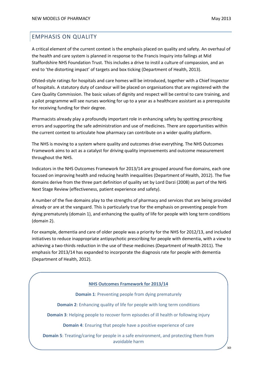## EMPHASIS ON QUALITY

A critical element of the current context is the emphasis placed on quality and safety. An overhaul of the health and care system is planned in response to the Francis Inquiry into failings at Mid Staffordshire NHS Foundation Trust. This includes a drive to instil a culture of compassion, and an end to 'the distorting impact' of targets and box ticking (Department of Health, 2013).

Ofsted-style ratings for hospitals and care homes will be introduced, together with a Chief Inspector of hospitals. A statutory duty of candour will be placed on organisations that are registered with the Care Quality Commission. The basic values of dignity and respect will be central to care training, and a pilot programme will see nurses working for up to a year as a healthcare assistant as a prerequisite for receiving funding for their degree.

Pharmacists already play a profoundly important role in enhancing safety by spotting prescribing errors and supporting the safe administration and use of medicines. There are opportunities within the current context to articulate how pharmacy can contribute on a wider quality platform.

The NHS is moving to a system where quality and outcomes drive everything. The NHS Outcomes Framework aims to act as a catalyst for driving quality improvements and outcome measurement throughout the NHS.

Indicators in the NHS Outcomes Framework for 2013/14 are grouped around five domains, each one focused on improving health and reducing health inequalities (Department of Health, 2012). The five domains derive from the three part definition of quality set by Lord Darzi (2008) as part of the NHS Next Stage Review (effectiveness, patient experience and safety).

A number of the five domains play to the strengths of pharmacy and services that are being provided already or are at the vanguard. This is particularly true for the emphasis on preventing people from dying prematurely (domain 1), and enhancing the quality of life for people with long term conditions (domain 2).

For example, dementia and care of older people was a priority for the NHS for 2012/13, and included initiatives to reduce inappropriate antipsychotic prescribing for people with dementia, with a view to achieving a two-thirds reduction in the use of these medicines (Department of Health 2011). The emphasis for 2013/14 has expanded to incorporate the diagnosis rate for people with dementia (Department of Health, 2012).

#### **NHS Outcomes Framework for 2013/14**

**Domain 1**: Preventing people from dying prematurely

**Domain 2**: Enhancing quality of life for people with long term conditions

**Domain 3**: Helping people to recover form episodes of ill health or following injury

**Domain 4**: Ensuring that people have a positive experience of care

**Domain 5**: Treating/caring for people in a safe environment, and protecting them from avoidable harm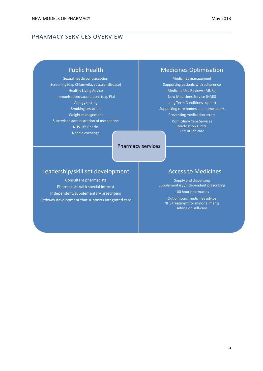#### PHARMACY SERVICES OVERVIEW

#### **Public Health**

Sexual heath/contraception Screening (e.g. Chlamydia, vascular disease) **Healthy Living Advice** Immunisation/vaccinations (e.g. Flu) **Allergy testing** Smoking cessation Weight management Supervised administration of methadone **NHS Life Checks** Needle exchange

#### Pharmacy services

#### **Medicines Optimisation**

Medicines management Supporting patients with adherence **Medicine Use Reviews (MURs) New Medicines Service (NMS)** Long Term Conditions support Supporting care homes and home carers Preventing medication errors **Domiciliary Care Services Medication audits** End-of-life care

## Leadership/skill set development

Consultant pharmacists Pharmacists with special interest Independent/supplementary prescribing Pathway development that supports integrated care

#### **Access to Medicines**

Supply and dispensing Supplementary /independent prescribing 100 hour pharmacies

Out of hours medicines advice NHS treatment for minor ailments Advice on self-care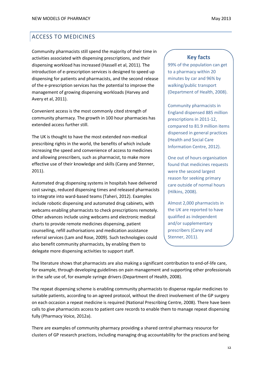## ACCESS TO MEDICINES

Community pharmacists still spend the majority of their time in activities associated with dispensing prescriptions, and their dispensing workload has increased (Hassell et al, 2011). The introduction of e-prescription services is designed to speed up dispensing for patients and pharmacists, and the second release of the e-prescription services has the potential to improve the management of growing dispensing workloads (Harvey and Avery et al, 2011).

Convenient access is the most commonly cited strength of community pharmacy. The growth in 100 hour pharmacies has extended access further still.

The UK is thought to have the most extended non-medical prescribing rights in the world, the benefits of which include increasing the speed and convenience of access to medicines and allowing prescribers, such as pharmacist, to make more effective use of their knowledge and skills (Carey and Stenner, 2011).

Automated drug dispensing systems in hospitals have delivered cost savings, reduced dispensing times and released pharmacists to integrate into ward-based teams (Taheri, 2012). Examples include robotic dispensing and automated drug cabinets, with webcams enabling pharmacists to check prescriptions remotely. Other advances include using webcams and electronic medical charts to provide remote medicines dispensing, patient counselling, refill authorisations and medication assistance referral services (Lam and Rose, 2009). Such technologies could also benefit community pharmacists, by enabling them to delegate more dispensing activities to support staff.

#### **Key facts**

99% of the population can get to a pharmacy within 20 minutes by car and 96% by walking/public transport (Department of Health, 2008).

Community pharmacists in England dispensed 885 million prescriptions in 2011-12, compared to 81.9 million items dispensed in general practices (Health and Social Care Information Centre, 2012).

One out of hours organisation found that medicines requests were the second largest reason for seeking primary care outside of normal hours (Hilkins, 2008).

Almost 2,000 pharmacists in the UK are reported to have qualified as independent and/or supplementary prescribers (Carey and Stenner, 2011).

The literature shows that pharmacists are also making a significant contribution to end-of-life care, for example, through developing guidelines on pain management and supporting other professionals in the safe use of, for example syringe drivers (Department of Health, 2008).

The repeat dispensing scheme is enabling community pharmacists to dispense regular medicines to suitable patients, according to an agreed protocol, without the direct involvement of the GP surgery on each occasion a repeat medicine is required (National Prescribing Centre, 2008). There have been calls to give pharmacists access to patient care records to enable them to manage repeat dispensing fully (Pharmacy Voice, 2012a).

There are examples of community pharmacy providing a shared central pharmacy resource for clusters of GP research practices, including managing drug accountability for the practices and being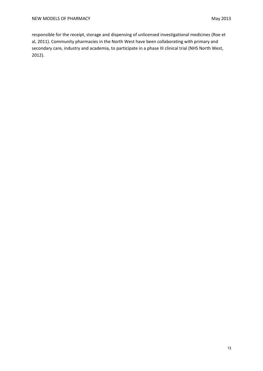responsible for the receipt, storage and dispensing of unlicensed investigational medicines (Roe et al, 2011). Community pharmacies in the North West have been collaborating with primary and secondary care, industry and academia, to participate in a phase III clinical trial (NHS North West, 2012).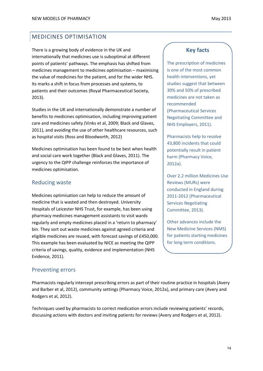## MEDICINES OPTIMISATION

There is a growing body of evidence in the UK and internationally that medicines use is suboptimal at different points of patients' pathways. The emphasis has shifted from medicines management to medicines optimisation – maximising the value of medicines for the patient, and for the wider NHS. Its marks a shift in focus from processes and systems, to patients and their outcomes (Royal Pharmaceutical Society, 2013).

Studies in the UK and internationally demonstrate a number of benefits to medicines optimisation, including improving patient care and medicines safety (Vinks et al, 2009; Black and Glaves, 2011), and avoiding the use of other healthcare resources, such as hospital visits (Ross and Bloodworth, 2012)

Medicines optimisation has been found to be best when health and social care work together (Black and Glaves, 2011). The urgency to the QIPP challenge reinforces the importance of medicines optimisation.

## Reducing waste

Medicines optimisation can help to reduce the amount of medicine that is wasted and then destroyed. University Hospitals of Leicester NHS Trust, for example, has been using pharmacy medicines management assistants to visit wards regularly and empty medicines placed in a 'return to pharmacy' bin. They sort out waste medicines against agreed criteria and eligible medicines are reused, with forecast savings of £450,000. This example has been evaluated by NICE as meeting the QIPP criteria of savings, quality, evidence and implementation (NHS Evidence, 2011).

#### Preventing errors

Pharmacists regularly intercept prescribing errors as part of their routine practice in hospitals (Avery and Barber et al, 2012), community settings (Pharmacy Voice, 2012a), and primary care (Avery and Rodgers et al, 2012).

Techniques used by pharmacists to correct medication errors include reviewing patients' records, discussing actions with doctors and inviting patients for reviews (Avery and Rodgers et al, 2012).

#### **Key facts**

The prescription of medicines is one of the most common health interventions, yet studies suggest that between 30% and 50% of prescribed medicines are not taken as recommended (Pharmaceutical Services Negotiating Committee and NHS Employers, 2011).

Pharmacists help to resolve 43,800 incidents that could potentially result in patient harm (Pharmacy Voice, 2012a).

Over 2.2 million Medicines Use Reviews (MURs) were conducted in England during 2011-2012 (Pharmaceutical Services Negotiating Committee, 2013).

Other advances include the New Medicine Services (NMS) for patients starting medicines for long term conditions.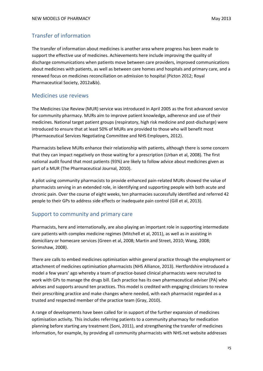## Transfer of information

The transfer of information about medicines is another area where progress has been made to support the effective use of medicines. Achievements here include improving the quality of discharge communications when patients move between care providers, improved communications about medicines with patients, as well as between care homes and hospitals and primary care, and a renewed focus on medicines reconciliation on admission to hospital (Picton 2012; Royal Pharmaceutical Society, 2012a&b).

#### Medicines use reviews

The Medicines Use Review (MUR) service was introduced in April 2005 as the first advanced service for community pharmacy. MURs aim to improve patient knowledge, adherence and use of their medicines. National target patient groups (respiratory, high risk medicine and post-discharge) were introduced to ensure that at least 50% of MURs are provided to those who will benefit most (Pharmaceutical Services Negotiating Committee and NHS Employers, 2012).

Pharmacists believe MURs enhance their relationship with patients, although there is some concern that they can impact negatively on those waiting for a prescription (Urban et al, 2008). The first national audit found that most patients (93%) are likely to follow advice about medicines given as part of a MUR (The Pharmaceutical Journal, 2010).

A pilot using community pharmacists to provide enhanced pain-related MURs showed the value of pharmacists serving in an extended role, in identifying and supporting people with both acute and chronic pain. Over the course of eight weeks, ten pharmacies successfully identified and referred 42 people to their GPs to address side effects or inadequate pain control (Gill et al, 2013).

#### Support to community and primary care

Pharmacists, here and internationally, are also playing an important role in supporting intermediate care patients with complex medicine regimes (Mitchell et al, 2011), as well as in assisting in domiciliary or homecare services (Green et al, 2008; Martin and Street, 2010; Wang, 2008; Scrimshaw, 2008).

There are calls to embed medicines optimisation within general practice through the employment or attachment of medicines optimisation pharmacists (NHS Alliance, 2013). Hertfordshire introduced a model a few years' ago whereby a team of practice-based clinical pharmacists were recruited to work with GPs to manage the drugs bill. Each practice has its own pharmaceutical adviser (PA) who advises and supports around ten practices. This model is credited with engaging clinicians to review their prescribing practice and make changes where needed, with each pharmacist regarded as a trusted and respected member of the practice team (Gray, 2010).

A range of developments have been called for in support of the further expansion of medicines optimisation activity. This includes referring patients to a community pharmacy for medication planning before starting any treatment (Soni, 2011), and strengthening the transfer of medicines information, for example, by providing all community pharmacists with NHS.net website addresses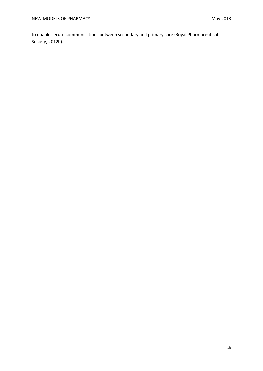to enable secure communications between secondary and primary care (Royal Pharmaceutical Society, 2012b).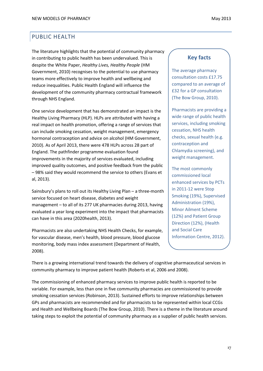## PUBLIC HEALTH

The literature highlights that the potential of community pharmacy in contributing to public health has been undervalued. This is despite the White Paper, *Healthy Lives, Healthy People* (HM Government, 2010) recognises to the potential to use pharmacy teams more effectively to improve health and wellbeing and reduce inequalities. Public Health England will influence the development of the community pharmacy contractual framework through NHS England.

One service development that has demonstrated an impact is the Healthy Living Pharmacy (HLP). HLPs are attributed with having a real impact on health promotion, offering a range of services that can include smoking cessation, weight management, emergency hormonal contraception and advice on alcohol (HM Government, 2010). As of April 2013, there were 478 HLPs across 28 part of England. The pathfinder programme evaluation found improvements in the majority of services evaluated, including improved quality outcomes, and positive feedback from the public – 98% said they would recommend the service to others (Evans et al, 2013).

Sainsbury's plans to roll out its Healthy Living Plan – a three-month service focused on heart disease, diabetes and weight management – to all of its 277 UK pharmacies during 2013, having evaluated a year long experiment into the impact that pharmacists can have in this area (2020health, 2013).

Pharmacists are also undertaking NHS Health Checks, for example, for vascular disease, men's health, blood pressure, blood glucose monitoring, body mass index assessment (Department of Health, 2008).

#### **Key facts**

The average pharmacy consultation costs £17.75 compared to an average of £32 for a GP consultation (The Bow Group, 2010).

Pharmacists are providing a wide range of public health services, including smoking cessation, NHS health checks, sexual health (e.g. contraception and Chlamydia screening), and weight management.

The most commonly commissioned local enhanced services by PCTs in 2011-12 were Stop Smoking (19%), Supervised Administration (19%), Minor Ailment Scheme (12%) and Patient Group Direction (12%), (Health and Social Care Information Centre, 2012).

There is a growing international trend towards the delivery of cognitive pharmaceutical services in community pharmacy to improve patient health (Roberts et al, 2006 and 2008).

The commissioning of enhanced pharmacy services to improve public health is reported to be variable. For example, less than one in five community pharmacies are commissioned to provide smoking cessation services (Robinson, 2013). Sustained efforts to improve relationships between GPs and pharmacists are recommended and for pharmacists to be represented within local CCGs and Health and Wellbeing Boards (The Bow Group, 2010). There is a theme in the literature around taking steps to exploit the potential of community pharmacy as a supplier of public health services.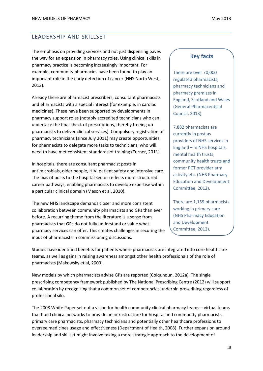## LEADERSHIP AND SKILLSET

The emphasis on providing services and not just dispensing paves the way for an expansion in pharmacy roles. Using clinical skills in pharmacy practice is becoming increasingly important. For example, community pharmacies have been found to play an important role in the early detection of cancer (NHS North West, 2013).

Already there are pharmacist prescribers, consultant pharmacists and pharmacists with a special interest (for example, in cardiac medicines). These have been supported by developments in pharmacy support roles (notably accredited technicians who can undertake the final check of prescriptions, thereby freeing up pharmacists to deliver clinical services). Compulsory registration of pharmacy technicians (since July 2011) may create opportunities for pharmacists to delegate more tasks to technicians, who will need to have met consistent standards of training (Turner, 2011).

In hospitals, there are consultant pharmacist posts in antimicrobials, older people, HIV, patient safety and intensive care. The bias of posts to the hospital sector reflects more structured career pathways, enabling pharmacists to develop expertise within a particular clinical domain (Mason et al, 2010).

The new NHS landscape demands closer and more consistent collaboration between community pharmacists and GPs than ever before. A recurring theme from the literature is a sense from pharmacists that GPs do not fully understand or value what pharmacy services can offer. This creates challenges in securing the input of pharmacists in commissioning discussions.

#### **Key facts**

There are over 70,000 regulated pharmacists, pharmacy technicians and pharmacy premises in England, Scotland and Wales (General Pharmaceutical Council, 2013).

7,882 pharmacists are currently in post as providers of NHS services in England – in NHS hospitals, mental health trusts, community health trusts and former PCT provider arm activity etc. (NHS Pharmacy Education and Development Committee, 2012).

There are 1,159 pharmacists working in primary care (NHS Pharmacy Education and Development Committee, 2012).

Studies have identified benefits for patients where pharmacists are integrated into core healthcare teams, as well as gains in raising awareness amongst other health professionals of the role of pharmacists (Makowsky et al, 2009).

New models by which pharmacists advise GPs are reported (Colquhoun, 2012a). The single prescribing competency framework published by The National Prescribing Centre (2012) will support collaboration by recognising that a common set of competencies underpin prescribing regardless of professional silo.

The 2008 White Paper set out a vision for health community clinical pharmacy teams – virtual teams that build clinical networks to provide an infrastructure for hospital and community pharmacists, primary care pharmacists, pharmacy technicians and potentially other healthcare professions to oversee medicines usage and effectiveness (Department of Health, 2008). Further expansion around leadership and skillset might involve taking a more strategic approach to the development of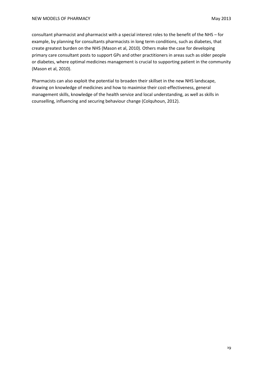consultant pharmacist and pharmacist with a special interest roles to the benefit of the NHS – for example, by planning for consultants pharmacists in long term conditions, such as diabetes, that create greatest burden on the NHS (Mason et al, 2010). Others make the case for developing primary care consultant posts to support GPs and other practitioners in areas such as older people or diabetes, where optimal medicines management is crucial to supporting patient in the community (Mason et al, 2010).

Pharmacists can also exploit the potential to broaden their skillset in the new NHS landscape, drawing on knowledge of medicines and how to maximise their cost-effectiveness, general management skills, knowledge of the health service and local understanding, as well as skills in counselling, influencing and securing behaviour change (Colquhoun, 2012).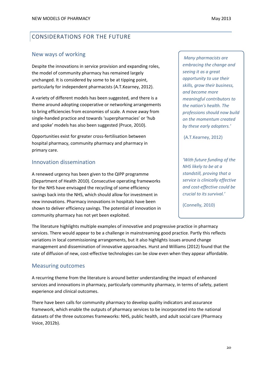## CONSIDERATIONS FOR THE FUTURE

#### New ways of working

Despite the innovations in service provision and expanding roles, the model of community pharmacy has remained largely unchanged. It is considered by some to be at tipping point, particularly for independent pharmacists (A.T.Kearney, 2012).

A variety of different models has been suggested, and there is a theme around adopting cooperative or networking arrangements to bring efficiencies from economies of scale. A move away from single-handed practice and towards 'superpharmacies' or 'hub and spoke' models has also been suggested (Pruce, 2010).

Opportunities exist for greater cross-fertilisation between hospital pharmacy, community pharmacy and pharmacy in primary care.

#### Innovation dissemination

A renewed urgency has been given to the QIPP programme (Department of Health 2010). Consecutive operating frameworks for the NHS have envisaged the recycling of some efficiency savings back into the NHS, which should allow for investment in new innovations. Pharmacy innovations in hospitals have been shown to deliver efficiency savings. The potential of innovation in community pharmacy has not yet been exploited.

*'Many pharmacists are embracing the change and seeing it as a great opportunity to use their skills, grow their business, and become more meaningful contributors to the nation's health. The professions should now build on the momentum created by these early adopters.'*

(A.T.Kearney, 2012)

*'With future funding of the NHS likely to be at a standstill, proving that a service is clinically effective and cost-effective could be crucial to its survival.'*

(Connelly, 2010)

The literature highlights multiple examples of innovative and progressive practice in pharmacy services. There would appear to be a challenge in mainstreaming good practice. Partly this reflects variations in local commissioning arrangements, but it also highlights issues around change management and dissemination of innovative approaches. Hurst and Williams (2012) found that the rate of diffusion of new, cost-effective technologies can be slow even when they appear affordable.

#### Measuring outcomes

A recurring theme from the literature is around better understanding the impact of enhanced services and innovations in pharmacy, particularly community pharmacy, in terms of safety, patient experience and clinical outcomes.

There have been calls for community pharmacy to develop quality indicators and assurance framework, which enable the outputs of pharmacy services to be incorporated into the national datasets of the three outcomes frameworks: NHS, public health, and adult social care (Pharmacy Voice, 2012b).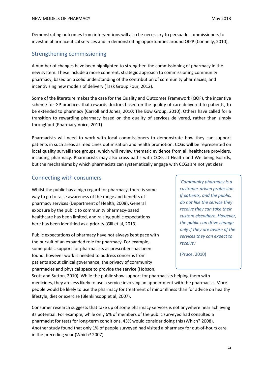Demonstrating outcomes from interventions will also be necessary to persuade commissioners to invest in pharmaceutical services and in demonstrating opportunities around QIPP (Connelly, 2010).

## Strengthening commissioning

A number of changes have been highlighted to strengthen the commissioning of pharmacy in the new system. These include a more coherent, strategic approach to commissioning community pharmacy, based on a solid understanding of the contribution of community pharmacies, and incentivising new models of delivery (Task Group Four, 2012).

Some of the literature makes the case for the Quality and Outcomes Framework (QOF), the incentive scheme for GP practices that rewards doctors based on the quality of care delivered to patients, to be extended to pharmacy (Carroll and Jones, 2010; The Bow Group, 2010). Others have called for a transition to rewarding pharmacy based on the quality of services delivered, rather than simply throughput (Pharmacy Voice, 2011).

Pharmacists will need to work with local commissioners to demonstrate how they can support patients in such areas as medicines optimisation and health promotion. CCGs will be represented on local quality surveillance groups, which will review thematic evidence from all healthcare providers, including pharmacy. Pharmacists may also cross paths with CCGs at Health and Wellbeing Boards, but the mechanisms by which pharmacists can systematically engage with CCGs are not yet clear.

### Connecting with consumers

Whilst the public has a high regard for pharmacy, there is some way to go to raise awareness of the range and benefits of pharmacy services (Department of Health, 2008). General exposure by the public to community pharmacy-based healthcare has been limited, and raising public expectations here has been identified as a priority (Gill et al, 2013).

Public expectations of pharmacy have not always kept pace with the pursuit of an expanded role for pharmacy. For example, some public support for pharmacists as prescribers has been found, however work is needed to address concerns from patients about clinical governance, the privacy of community pharmacies and physical space to provide the service (Hobson,

*'Community pharmacy is a customer-driven profession. If patients, and the public, do not like the service they receive they can take their custom elsewhere. However, the public can drive change only if they are aware of the services they can expect to receive.'* 

(Pruce, 2010)

Scott and Sutton, 2010). While the public show support for pharmacists helping them with medicines, they are less likely to use a service involving an appointment with the pharmacist. More people would be likely to use the pharmacy for treatment of minor illness than for advice on healthy lifestyle, diet or exercise (Blenkinsopp et al, 2007).

Consumer research suggests that take up of some pharmacy services is not anywhere near achieving its potential. For example, while only 6% of members of the public surveyed had consulted a pharmacist for tests for long-term conditions, 43% would consider doing this (Which? 2008). Another study found that only 1% of people surveyed had visited a pharmacy for out-of-hours care in the preceding year (Which? 2007).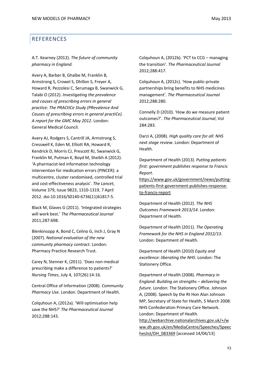## REFERENCES

A.T. Kearney (2012). *The future of community pharmacy in England.*

Avery A, Barber B, Ghalbe M, Franklin B, Armstrong S, Crowel S, Dhillon S, Freyer A, Howard R, Pezzolesi C, Serumaga B, Swanwick G, Talabi O (2012). *Investigating the prevalence and causes of prescribing errors in general practice: The PRACtICe Study (PRevalence And Causes of prescrIbing errors in general practiCe). A report for the GMC May 2012*. London: General Medical Council.

Avery AJ, Rodgers S, Cantrill JA, Armstrong S, Cresswell K, Eden M, Elliott RA, Howard R, Kendrick D, Morris CJ, Prescott RJ, Swanwick G, Franklin M, Putman K, Boyd M, Sheikh A (2012). 'A pharmacist-led information technology intervention for medication errors (PINCER): a multicentre, cluster randomised, controlled trial and cost-effectiveness analysis'. *The Lancet*, Volume 379, Issue 9823, 1310-1319, 7 April 2012. doi:10.1016/S0140-6736(11)61817-5.

Black M, Glaves G (2011). 'Integrated strategies will work best.' *The Pharmaceutical Journal* 2011;287:698.

Blenkinsopp A, Bond C, Celino G, Inch J, Gray N (2007). *National evaluation of the new community pharmacy contract*. London: Pharmacy Practice Research Trust.

Carey N, Stenner K, (2011). 'Does non-medical prescribing make a difference to patients?' *Nursing Times*, July 4, 107(26):14-16.

Central Office of Information (2008). *Community Pharmacy Use.* London: Department of Health.

Colquhoun A, (2012a). 'Will optimisation help save the NHS?' *The Pharmaceutical Journal* 2012;288:143.

Colquhoun A, (2012b). 'PCT to CCG – managing the transition'. *The Pharmaceutical Journal* 2012;288:417.

Colquhoun A, (2012c). 'How public-private partnerships bring benefits to NHS medicines management'. *The Pharmaceutical Journal* 2012;288:280.

Connelly D (2010). 'How do we measure patient outcomes?'. *The Pharmaceutical Journal*, Vol 284:283.

Darzi A, (2008). *High quality care for all: NHS next stage review*. London: Department of Health.

Department of Health (2013). *Putting patients first: government publishes response to Francis Report*.

[https://www.gov.uk/government/news/putting](https://www.gov.uk/government/news/putting-patients-first-government-publishes-response-to-francis-report)[patients-first-government-publishes-response](https://www.gov.uk/government/news/putting-patients-first-government-publishes-response-to-francis-report)[to-francis-report](https://www.gov.uk/government/news/putting-patients-first-government-publishes-response-to-francis-report)

Department of Health (2012). *The NHS Outcomes Framework 2013/14*. London: Department of Health.

Department of Health (2011). *The Operating Framework for the NHS in England 2012/13*. London: Department of Health.

Department of Health (2010) *Equity and excellence: liberating the NHS*. London: The Stationery Office.

Department of Health (2008). *Pharmacy in England: Building on strengths – delivering the future*. London: The Stationery Office. Johnson A, (2008). Speech by the Rt Hon Alan Johnson MP, Secretary of State for Health, 5 March 2008: NHS Confederation Primary Care Network. London: Department of Health.

[http://webarchive.nationalarchives.gov.uk/+/w](http://webarchive.nationalarchives.gov.uk/+/www.dh.gov.uk/en/MediaCentre/Speeches/Speecheslist/DH_083369) [ww.dh.gov.uk/en/MediaCentre/Speeches/Speec](http://webarchive.nationalarchives.gov.uk/+/www.dh.gov.uk/en/MediaCentre/Speeches/Speecheslist/DH_083369) [heslist/DH\\_083369](http://webarchive.nationalarchives.gov.uk/+/www.dh.gov.uk/en/MediaCentre/Speeches/Speecheslist/DH_083369) [accessed 14/04/13]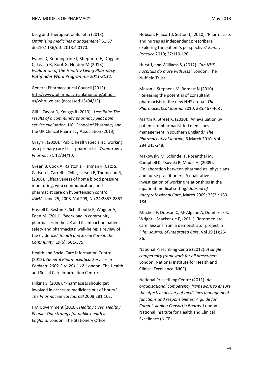Drug and Therapeutics Bulletin (2013). *Optimising medicines management?* 51:37 doi:10.1136/dtb.2013.4.0170.

Evans D, Kennington EJ, Shepherd E, Duggan C, Leach R, Root G, Holden M (2013). *Evaluation of the Healthy Living Pharmacy Pathfinder Work Programme 2011-2012*.

General Pharmaceutical Council (2013). [http://www.pharmacyregulation.org/about](http://www.pharmacyregulation.org/about-us/who-we-are)[us/who-we-are](http://www.pharmacyregulation.org/about-us/who-we-are) (accessed 15/04/13).

Gill J, Taylor D, Knaggs R (2013). *Less Pain: The results of a community pharmacy pilot pain service evaluation.* UCL School of Pharmacy and the UK Clinical Pharmacy Association (2013).

Gray H, (2010). 'Public health specialist: working as a primary care trust pharmacist.' *Tomorrow's Pharmacist*. 12/04/10.

Green B, Cook A, Ralston J, Fishman P, Catz S, Carlson J, Carrell J, Tyll L, Larson E, Thompson R, (2008). 'Effectiveness of home blood pressure monitoring, web communication, and pharmacist care on hypertension control.' *JAMA*, June 25, 2008, Vol 299, No.24:2857-2867.

Hassell K, Seston E, Schafheutle E, Wagner A, Eden M, (2011). 'Workload in community pharmacies in the UK and its impact on patient safety and pharmacists' well-being: a review of the evidence.' *Health and Social Care in the Community*, 19(6): 561-575.

Health and Social Care Information Centre (2012). *General Pharmaceutical Services in England: 2002-3 to 2011-12.* London: The Health and Social Care Information Centre.

Hilkins S, (2008). 'Pharmacists should get involved in access to medicines out of hours.' *The Pharmaceutical Journal* 2008;281:162.

HM Government (2010). *Healthy Lives, Healthy People: Our strategy for public health in England*. London: The Stationery Office.

Hobson, R, Scott J, Sutton J, (2010). 'Pharmacists and nurses as independent prescribers: exploring the patient's perspective.' *Family Practice* 2010; 27:110-120.

Hurst J, and Williams S, (2012). *Can NHS hospitals do more with less?* London: The Nuffield Trust.

Mason J, Stephens M, Barnett N (2010). 'Releasing the potential of consultant pharmacists in the new NHS arena.' *The Pharmaceutical Journal* 2010; 285:467-468 .

Martin K, Street K, (2010). 'An evaluation by patients of pharmacist-led medicines management in southern England.' *The Pharmaceutical Journal*, 6 March 2010, Vol 284:245-248.

Makowsky M, Schindel T, Rosenthal M, Campbell K, Tsuyuki R, Madill H, (2009). 'Collaboration between pharmacists, physicians and nurse practitioners: A qualitative investigation of working relationships in the inpatient medical setting.' *Journal of Interprofessional Care*, March 2009; 23(2): 169- 184.

Mitchell F, Dobson C, McAlpline A, Dumbreck S, Wright I, Mackenzie F, (2011). 'Intermediate care: lessons from a demonstrator project in Fife.' *Journal of Integrated Care*, Vol 19 (1):26- 36.

National Prescribing Centre (2012). *A single competency framework for all prescribers*. London: National Institute for Health and Clinical Excellence (NICE).

National Prescribing Centre (2011). *An organisational competency framework to ensure the effective delivery of medicines management functions and responsibilities; A guide for Commissioning Consortia Boards*. London: National Institute for Health and Clinical Excellence (NICE).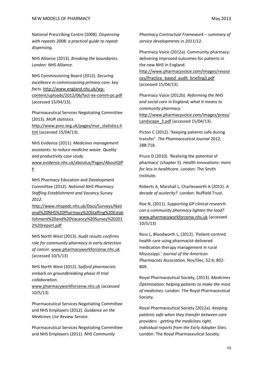NHS Alliance (2013). *Breaking the boundaries. London: NHS Alliance.*

NHS Commissioning Board (2012). *Securing excellence in commissioning primary care: key facts.* [http://www.england.nhs.uk/wp](http://www.england.nhs.uk/wp-content/uploads/2012/06/fact-ex-comm-pc.pdf)[content/uploads/2012/06/fact-ex-comm-pc.pdf](http://www.england.nhs.uk/wp-content/uploads/2012/06/fact-ex-comm-pc.pdf) (accessed 15/04/13).

Pharmaceutical Services Negotiating Committee (2013). *MUR statistics*.

[http://www.psnc.org.uk/pages/mur\\_statistics.h](http://www.psnc.org.uk/pages/mur_statistics.html) [tml](http://www.psnc.org.uk/pages/mur_statistics.html) (accessed 15/04/13).

NHS Evidence (2011). *Medicines management assistants: to reduce medicine waste. Quality and productivity case study*.

[www.evidence.nhs.uk/aboutus/Pages/AboutQIP](http://www.evidence.nhs.uk/aboutus/Pages/AboutQIPP) [P](http://www.evidence.nhs.uk/aboutus/Pages/AboutQIPP)

NHS Pharmacy Education and Development Committee (2012). *National NHS Pharmacy Staffing Establishment and Vacancy Survey 2012*.

[http://www.nhspedc.nhs.uk/Docs/Surveys/Nati](http://www.nhspedc.nhs.uk/Docs/Surveys/National%20NHS%20Pharmacy%20Staffing%20Establishment%20and%20Vacancy%20Survey%202012%20report.pdf) [onal%20NHS%20Pharmacy%20Staffing%20Estab](http://www.nhspedc.nhs.uk/Docs/Surveys/National%20NHS%20Pharmacy%20Staffing%20Establishment%20and%20Vacancy%20Survey%202012%20report.pdf) [lishment%20and%20Vacancy%20Survey%20201](http://www.nhspedc.nhs.uk/Docs/Surveys/National%20NHS%20Pharmacy%20Staffing%20Establishment%20and%20Vacancy%20Survey%202012%20report.pdf) [2%20report.pdf](http://www.nhspedc.nhs.uk/Docs/Surveys/National%20NHS%20Pharmacy%20Staffing%20Establishment%20and%20Vacancy%20Survey%202012%20report.pdf)

NHS North West (2013). *Audit results confirms role for community pharmacy in early detection of cancer*. [www.pharmacyworkforcenw.nhs.uk](http://www.pharmacyworkforcenw.nhs.uk/) (accessed 10/5/13)

NHS North West (2012). *Salford pharmacists embark on groundbreaking phase III trial collaboration*.

[www.pharmacyworkforcenw.nhs.uk](http://www.pharmacyworkforcenw.nhs.uk/) (accessed 10/5/13)

Pharmaceutical Services Negotiating Committee and NHS Employers (2012). *Guidance on the Medicines Use Review Service*.

Pharmaceutical Services Negotiating Committee and NHS Employers (2011). *NHS Community* 

*Pharmacy Contractual Framework – summary of service developments in 2011/12.*

Pharmacy Voice (2012a). Community pharmacy: delivering improved outcomes for patients in the new NHS in England. [http://www.pharmacyvoice.com/images/resour](http://www.pharmacyvoice.com/images/resources/Practice_based_audit_briefing3.pdf)

[ces/Practice\\_based\\_audit\\_briefing3.pdf](http://www.pharmacyvoice.com/images/resources/Practice_based_audit_briefing3.pdf) (accessed 15/04/13).

Pharmacy Voice (2012b). *Reforming the NHS and social care in England; what it means to community pharmacy.* [http://www.pharmacyvoice.com/images/press/](http://www.pharmacyvoice.com/images/press/Landscape_3.pdf) Landscape 3.pdf (accessed 15/04/13).

Picton C (2012). 'Keeping patients safe during transfer'. *The Pharmaceutical Journal* 2012; 288:718.

Pruce D (2010). 'Realising the potential of pharmacy' (chapter 5). *Health innovations: more for less in healthcare*. London: The Smith Institute.

Roberts A, Marshall L, Charlesworth A (2012). *A decade of austerity?* London: Nuffield Trust.

Roe N, (2011). *Supporting GP clinical research: can a community pharmacy lighten the load?* [www.pharmacyworkforcenw.nhs.uk](http://www.pharmacyworkforcenw.nhs.uk/) (accessed 10/5/13)

Ross L, Bloodworth L, (2012). 'Patient-centred health care using pharmacist-delivered medication therapy management in rural Mississippi.' *Journal of the American Pharmacists Association*, Nov/Dec, 52:6; 802- 809.

Royal Pharmaceutical Society, (2013). *Medicines Optimisation: helping patients to make the most of medicines.* London: The Royal Pharmaceutical Society.

Royal Pharmaceutical Society (2012a). *Keeping patients safe when they transfer between care providers - getting the medicines right. Individual reports from the Early Adopter Sites.*  London: The Royal Pharmaceutical Society.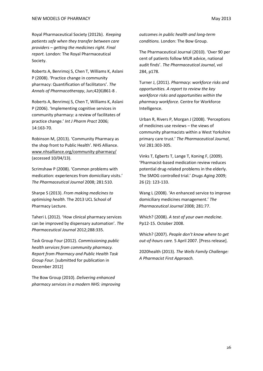Royal Pharmaceutical Society (2012b). *Keeping patients safe when they transfer between care providers – getting the medicines right. Final report.* London: The Royal Pharmaceutical Society.

Roberts A, Benrimoj S, Chen T, Williams K, Aslani P (2008). 'Practice change in community pharmacy: Quantification of facilitators'. *The Annals of Pharmacotherapy*, Jun;42(6)861-8 .

Roberts A, Benrimoj S, Chen T, Williams K, Aslani P (2006). 'Implementing cognitive services in community pharmacy: a review of facilitates of practice change.' *Int J Pharm Pract* 2006; 14:163-70.

Robinson M, (2013). 'Community Pharmacy as the shop front to Public Health'. NHS Alliance. [www.nhsalliance.org/community-pharmacy/](http://www.nhsalliance.org/community-pharmacy/) (accessed 10/04/13).

Scrimshaw P (2008). 'Common problems with medication: experiences from domiciliary visits.' *The Pharmaceutical Journal* 2008; 281:510.

Sharpe S (2013). *From making medicines to optimising health*. The 2013 UCL School of Pharmacy Lecture.

Taheri L (2012). 'How clinical pharmacy services can be improved by dispensary automation'. *The Pharmaceutical Journal* 2012;288:335.

Task Group Four (2012). *Commissioning public health services from community pharmacy. Report from Pharmacy and Public Health Task Group Four*. [submitted for publication in December 2012]

The Bow Group (2010). *Delivering enhanced pharmacy services in a modern NHS: improving*  *outcomes in public health and long-term conditions.* London: The Bow Group.

The Pharmaceutical Journal (2010). 'Over 90 per cent of patients follow MUR advice, national audit finds'. *The Pharmaceutical Journal*, vol 284, p178.

Turner J, (2011). *Pharmacy: workforce risks and opportunities. A report to review the key workforce risks and opportunities within the pharmacy workforce.* Centre for Workforce Intelligence.

Urban R, Rivers P, Morgan J (2008). 'Perceptions of medicines use reviews – the views of community pharmacists within a West Yorkshire primary care trust.' *The Pharmaceutical Journal*, Vol 281:303-305.

Vinks T, Egberts T, Lange T, Koning F, (2009). 'Pharmacist-based medication review reduces potential drug-related problems in the elderly. The SMOG controlled trial.' *Drugs Aging* 2009; 26 (2): 123-133.

Wang L (2008). 'An enhanced service to improve domiciliary medicines management.' *The Pharmaceutical Journal* 2008; 281:77.

Which? (2008). *A test of your own medicine*. Pp12-15. October 2008.

Which? (2007). *People don't know where to get out-of-hours care.* 5 April 2007. [Press release].

2020health (2013). *The Wells Family Challenge: A Pharmacist First Approach.*